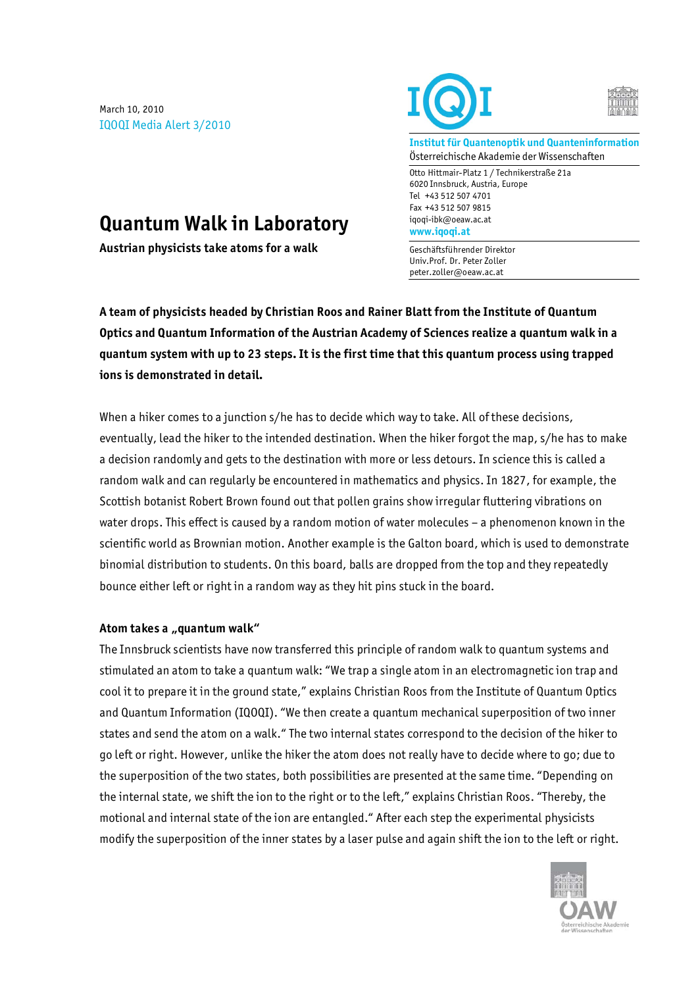March 10, 2010 IQOQI Media Alert 3/2010





**Institut für Quantenoptik und Quanteninformation**  Österreichische Akademie der Wissenschaften

Otto Hittmair-Platz 1 / Technikerstraße 21a 6020 Innsbruck, Austria, Europe Tel +43 512 507 4701 Fax +43 512 507 9815 iqoqi-ibk@oeaw.ac.at **www.iqoqi.at** 

Geschäftsführender Direktor Univ.Prof. Dr. Peter Zoller peter.zoller@oeaw.ac.at

# **Quantum Walk in Laboratory**

**Austrian physicists take atoms for a walk** 

**A team of physicists headed by Christian Roos and Rainer Blatt from the Institute of Quantum Optics and Quantum Information of the Austrian Academy of Sciences realize a quantum walk in a quantum system with up to 23 steps. It is the first time that this quantum process using trapped ions is demonstrated in detail.** 

When a hiker comes to a junction s/he has to decide which way to take. All of these decisions, eventually, lead the hiker to the intended destination. When the hiker forgot the map, s/he has to make a decision randomly and gets to the destination with more or less detours. In science this is called a random walk and can regularly be encountered in mathematics and physics. In 1827, for example, the Scottish botanist Robert Brown found out that pollen grains show irregular fluttering vibrations on water drops. This effect is caused by a random motion of water molecules – a phenomenon known in the scientific world as Brownian motion. Another example is the Galton board, which is used to demonstrate binomial distribution to students. On this board, balls are dropped from the top and they repeatedly bounce either left or right in a random way as they hit pins stuck in the board.

# Atom takes a "quantum walk"

The Innsbruck scientists have now transferred this principle of random walk to quantum systems and stimulated an atom to take a quantum walk: "We trap a single atom in an electromagnetic ion trap and cool it to prepare it in the ground state," explains Christian Roos from the Institute of Quantum Optics and Quantum Information (IQOQI). "We then create a quantum mechanical superposition of two inner states and send the atom on a walk." The two internal states correspond to the decision of the hiker to go left or right. However, unlike the hiker the atom does not really have to decide where to go; due to the superposition of the two states, both possibilities are presented at the same time. "Depending on the internal state, we shift the ion to the right or to the left," explains Christian Roos. "Thereby, the motional and internal state of the ion are entangled." After each step the experimental physicists modify the superposition of the inner states by a laser pulse and again shift the ion to the left or right.